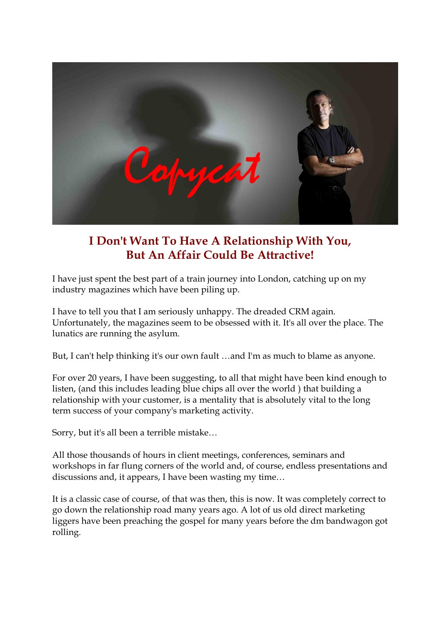

# **I Don't Want To Have A Relationship With You, But An Affair Could Be Attractive!**

I have just spent the best part of a train journey into London, catching up on my industry magazines which have been piling up.

I have to tell you that I am seriously unhappy. The dreaded CRM again. Unfortunately, the magazines seem to be obsessed with it. It's all over the place. The lunatics are running the asylum.

But, I can't help thinking it's our own fault …and I'm as much to blame as anyone.

For over 20 years, I have been suggesting, to all that might have been kind enough to listen, (and this includes leading blue chips all over the world ) that building a relationship with your customer, is a mentality that is absolutely vital to the long term success of your company's marketing activity.

Sorry, but it's all been a terrible mistake…

All those thousands of hours in client meetings, conferences, seminars and workshops in far flung corners of the world and, of course, endless presentations and discussions and, it appears, I have been wasting my time…

It is a classic case of course, of that was then, this is now. It was completely correct to go down the relationship road many years ago. A lot of us old direct marketing liggers have been preaching the gospel for many years before the dm bandwagon got rolling.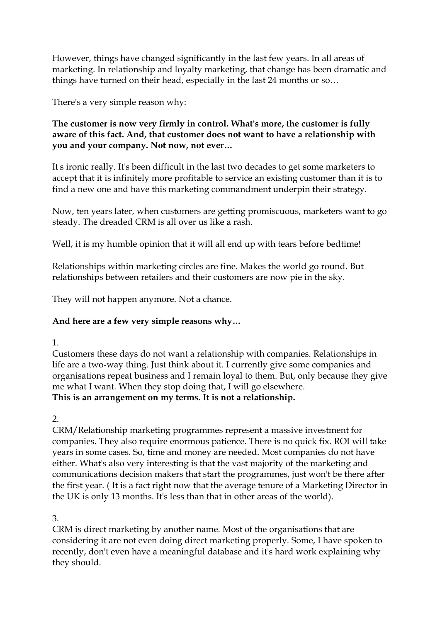However, things have changed significantly in the last few years. In all areas of marketing. In relationship and loyalty marketing, that change has been dramatic and things have turned on their head, especially in the last 24 months or so…

There's a very simple reason why:

#### **The customer is now very firmly in control. What's more, the customer is fully aware of this fact. And, that customer does not want to have a relationship with you and your company. Not now, not ever…**

It's ironic really. It's been difficult in the last two decades to get some marketers to accept that it is infinitely more profitable to service an existing customer than it is to find a new one and have this marketing commandment underpin their strategy.

Now, ten years later, when customers are getting promiscuous, marketers want to go steady. The dreaded CRM is all over us like a rash.

Well, it is my humble opinion that it will all end up with tears before bedtime!

Relationships within marketing circles are fine. Makes the world go round. But relationships between retailers and their customers are now pie in the sky.

They will not happen anymore. Not a chance.

## **And here are a few very simple reasons why…**

1.

Customers these days do not want a relationship with companies. Relationships in life are a two-way thing. Just think about it. I currently give some companies and organisations repeat business and I remain loyal to them. But, only because they give me what I want. When they stop doing that, I will go elsewhere. **This is an arrangement on my terms. It is not a relationship.**

 $\mathcal{D}$ 

CRM/Relationship marketing programmes represent a massive investment for companies. They also require enormous patience. There is no quick fix. ROI will take years in some cases. So, time and money are needed. Most companies do not have either. What's also very interesting is that the vast majority of the marketing and communications decision makers that start the programmes, just won't be there after the first year. ( It is a fact right now that the average tenure of a Marketing Director in the UK is only 13 months. It's less than that in other areas of the world).

3.

CRM is direct marketing by another name. Most of the organisations that are considering it are not even doing direct marketing properly. Some, I have spoken to recently, don't even have a meaningful database and it's hard work explaining why they should.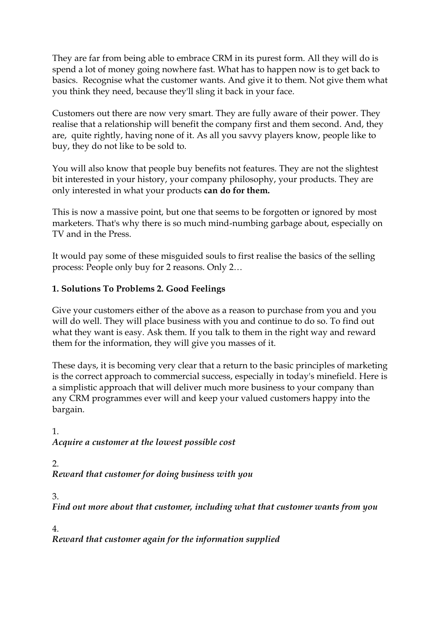They are far from being able to embrace CRM in its purest form. All they will do is spend a lot of money going nowhere fast. What has to happen now is to get back to basics. Recognise what the customer wants. And give it to them. Not give them what you think they need, because they'll sling it back in your face.

Customers out there are now very smart. They are fully aware of their power. They realise that a relationship will benefit the company first and them second. And, they are, quite rightly, having none of it. As all you savvy players know, people like to buy, they do not like to be sold to.

You will also know that people buy benefits not features. They are not the slightest bit interested in your history, your company philosophy, your products. They are only interested in what your products **can do for them.**

This is now a massive point, but one that seems to be forgotten or ignored by most marketers. That's why there is so much mind-numbing garbage about, especially on TV and in the Press.

It would pay some of these misguided souls to first realise the basics of the selling process: People only buy for 2 reasons. Only 2…

## **1. Solutions To Problems 2. Good Feelings**

Give your customers either of the above as a reason to purchase from you and you will do well. They will place business with you and continue to do so. To find out what they want is easy. Ask them. If you talk to them in the right way and reward them for the information, they will give you masses of it.

These days, it is becoming very clear that a return to the basic principles of marketing is the correct approach to commercial success, especially in today's minefield. Here is a simplistic approach that will deliver much more business to your company than any CRM programmes ever will and keep your valued customers happy into the bargain.

1. *Acquire a customer at the lowest possible cost*

2. *Reward that customer for doing business with you*

3.

*Find out more about that customer, including what that customer wants from you*

4.

*Reward that customer again for the information supplied*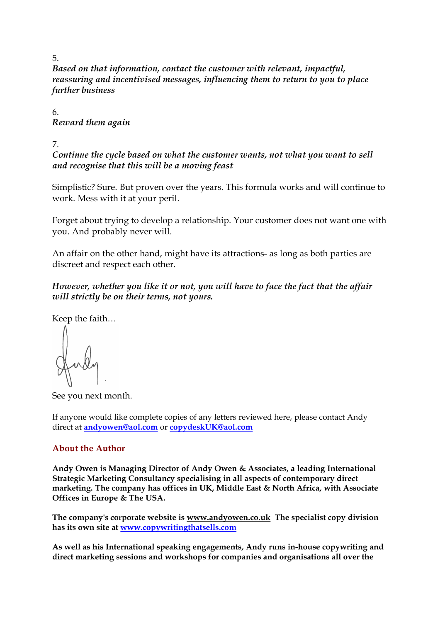*Based on that information, contact the customer with relevant, impactful, reassuring and incentivised messages, influencing them to return to you to place further business*

6. *Reward them again*

7.

*Continue the cycle based on what the customer wants, not what you want to sell and recognise that this will be a moving feast*

Simplistic? Sure. But proven over the years. This formula works and will continue to work. Mess with it at your peril.

Forget about trying to develop a relationship. Your customer does not want one with you. And probably never will.

An affair on the other hand, might have its attractions- as long as both parties are discreet and respect each other.

*However, whether you like it or not, you will have to face the fact that the affair will strictly be on their terms, not yours.*

Keep the faith…

See you next month.

If anyone would like complete copies of any letters reviewed here, please contact Andy direct at **[andyowen@aol.com](mailto:andyowen@aol.com)** or **[copydeskUK@aol.com](mailto:copydeskUK@aol.com)** 

#### **About the Author**

**Andy Owen is Managing Director of Andy Owen & Associates, a leading International Strategic Marketing Consultancy specialising in all aspects of contemporary direct marketing. The company has offices in UK, Middle East & North Africa, with Associate Offices in Europe & The USA.**

**The company's corporate website is [www.andyowen.co.uk](http://www.andyowen.co.uk/) The specialist copy division has its own site at [www.copywritingthatsells.com](http://www.copywritingthatsells.com/)** 

**As well as his International speaking engagements, Andy runs inhouse copywriting and direct marketing sessions and workshops for companies and organisations all over the**

5.